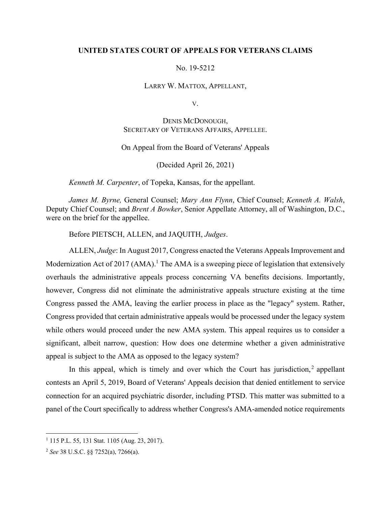### **UNITED STATES COURT OF APPEALS FOR VETERANS CLAIMS**

### No. 19-5212

#### LARRY W. MATTOX, APPELLANT,

V.

# DENIS MCDONOUGH, SECRETARY OF VETERANS AFFAIRS, APPELLEE.

## On Appeal from the Board of Veterans' Appeals

(Decided April 26, 2021)

*Kenneth M. Carpenter*, of Topeka, Kansas, for the appellant.

*James M. Byrne,* General Counsel; *Mary Ann Flynn*, Chief Counsel; *Kenneth A. Walsh*, Deputy Chief Counsel; and *Brent A Bowker*, Senior Appellate Attorney, all of Washington, D.C., were on the brief for the appellee.

Before PIETSCH, ALLEN, and JAQUITH, *Judges*.

ALLEN, *Judge*: In August 2017, Congress enacted the Veterans Appeals Improvement and Modernization Act of 2017  $(AMA)^{1}$  The AMA is a sweeping piece of legislation that extensively overhauls the administrative appeals process concerning VA benefits decisions. Importantly, however, Congress did not eliminate the administrative appeals structure existing at the time Congress passed the AMA, leaving the earlier process in place as the "legacy" system. Rather, Congress provided that certain administrative appeals would be processed under the legacy system while others would proceed under the new AMA system. This appeal requires us to consider a significant, albeit narrow, question: How does one determine whether a given administrative appeal is subject to the AMA as opposed to the legacy system?

In this appeal, which is timely and over which the Court has jurisdiction, $<sup>2</sup>$  appellant</sup> contests an April 5, 2019, Board of Veterans' Appeals decision that denied entitlement to service connection for an acquired psychiatric disorder, including PTSD. This matter was submitted to a panel of the Court specifically to address whether Congress's AMA-amended notice requirements

<sup>1</sup> 115 P.L. 55, 131 Stat. 1105 (Aug. 23, 2017).

<sup>2</sup> *See* 38 U.S.C. §§ 7252(a), 7266(a).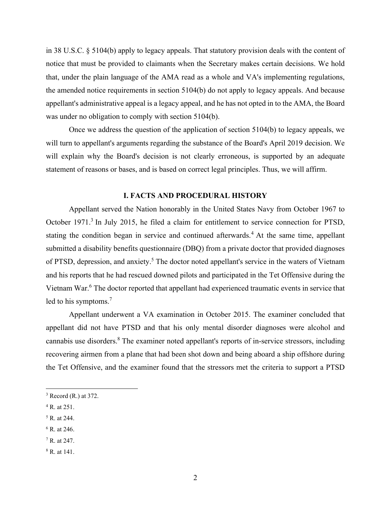in 38 U.S.C. § 5104(b) apply to legacy appeals. That statutory provision deals with the content of notice that must be provided to claimants when the Secretary makes certain decisions. We hold that, under the plain language of the AMA read as a whole and VA's implementing regulations, the amended notice requirements in section 5104(b) do not apply to legacy appeals. And because appellant's administrative appeal is a legacy appeal, and he has not opted in to the AMA, the Board was under no obligation to comply with section 5104(b).

Once we address the question of the application of section 5104(b) to legacy appeals, we will turn to appellant's arguments regarding the substance of the Board's April 2019 decision. We will explain why the Board's decision is not clearly erroneous, is supported by an adequate statement of reasons or bases, and is based on correct legal principles. Thus, we will affirm.

### **I. FACTS AND PROCEDURAL HISTORY**

 Appellant served the Nation honorably in the United States Navy from October 1967 to October 1971.<sup>3</sup> In July 2015, he filed a claim for entitlement to service connection for PTSD, stating the condition began in service and continued afterwards.<sup>4</sup> At the same time, appellant submitted a disability benefits questionnaire (DBQ) from a private doctor that provided diagnoses of PTSD, depression, and anxiety.<sup>5</sup> The doctor noted appellant's service in the waters of Vietnam and his reports that he had rescued downed pilots and participated in the Tet Offensive during the Vietnam War.<sup>6</sup> The doctor reported that appellant had experienced traumatic events in service that led to his symptoms.<sup>7</sup>

 Appellant underwent a VA examination in October 2015. The examiner concluded that appellant did not have PTSD and that his only mental disorder diagnoses were alcohol and cannabis use disorders.<sup>8</sup> The examiner noted appellant's reports of in-service stressors, including recovering airmen from a plane that had been shot down and being aboard a ship offshore during the Tet Offensive, and the examiner found that the stressors met the criteria to support a PTSD

- <sup>4</sup> R. at 251.
- 5 R. at 244.
- 6 R. at 246.
- 7 R. at 247.

 $3$  Record (R.) at 372.

<sup>8</sup> R. at 141.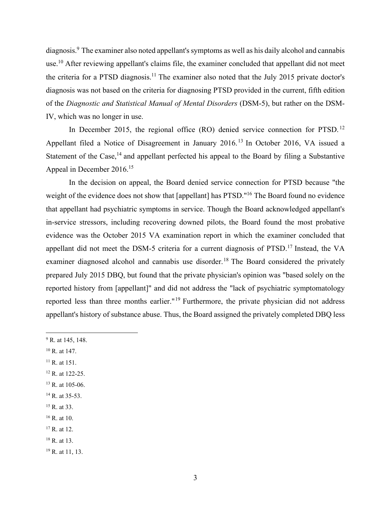diagnosis.<sup>9</sup> The examiner also noted appellant's symptoms as well as his daily alcohol and cannabis use.<sup>10</sup> After reviewing appellant's claims file, the examiner concluded that appellant did not meet the criteria for a PTSD diagnosis.11 The examiner also noted that the July 2015 private doctor's diagnosis was not based on the criteria for diagnosing PTSD provided in the current, fifth edition of the *Diagnostic and Statistical Manual of Mental Disorders* (DSM-5), but rather on the DSM-IV, which was no longer in use.

In December 2015, the regional office (RO) denied service connection for PTSD.<sup>12</sup> Appellant filed a Notice of Disagreement in January 2016.<sup>13</sup> In October 2016, VA issued a Statement of the Case,<sup>14</sup> and appellant perfected his appeal to the Board by filing a Substantive Appeal in December 2016.15

In the decision on appeal, the Board denied service connection for PTSD because "the weight of the evidence does not show that [appellant] has PTSD."<sup>16</sup> The Board found no evidence that appellant had psychiatric symptoms in service. Though the Board acknowledged appellant's in-service stressors, including recovering downed pilots, the Board found the most probative evidence was the October 2015 VA examination report in which the examiner concluded that appellant did not meet the DSM-5 criteria for a current diagnosis of PTSD.<sup>17</sup> Instead, the VA examiner diagnosed alcohol and cannabis use disorder.<sup>18</sup> The Board considered the privately prepared July 2015 DBQ, but found that the private physician's opinion was "based solely on the reported history from [appellant]" and did not address the "lack of psychiatric symptomatology reported less than three months earlier."19 Furthermore, the private physician did not address appellant's history of substance abuse. Thus, the Board assigned the privately completed DBQ less

- $9$  R. at 145, 148.
- 10 R. at 147.
- $11$  R. at 151.
- <sup>12</sup> R. at 122-25.
- 13 R. at 105-06.
- <sup>14</sup> R. at 35-53.
- <sup>15</sup> R. at 33.
- 16 R. at 10.
- $17$  R. at 12.
- 18 R. at 13.
- 19 R. at 11, 13.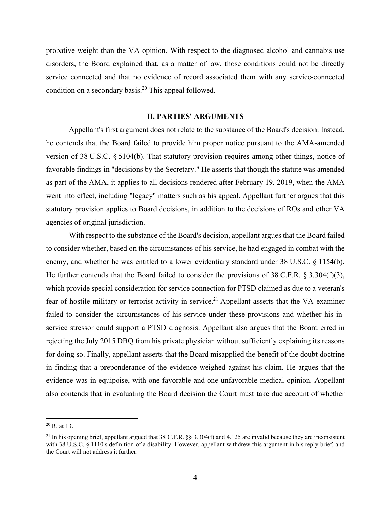probative weight than the VA opinion. With respect to the diagnosed alcohol and cannabis use disorders, the Board explained that, as a matter of law, those conditions could not be directly service connected and that no evidence of record associated them with any service-connected condition on a secondary basis.20 This appeal followed.

#### **II. PARTIES' ARGUMENTS**

Appellant's first argument does not relate to the substance of the Board's decision. Instead, he contends that the Board failed to provide him proper notice pursuant to the AMA-amended version of 38 U.S.C. § 5104(b). That statutory provision requires among other things, notice of favorable findings in "decisions by the Secretary." He asserts that though the statute was amended as part of the AMA, it applies to all decisions rendered after February 19, 2019, when the AMA went into effect, including "legacy" matters such as his appeal. Appellant further argues that this statutory provision applies to Board decisions, in addition to the decisions of ROs and other VA agencies of original jurisdiction.

 With respect to the substance of the Board's decision, appellant argues that the Board failed to consider whether, based on the circumstances of his service, he had engaged in combat with the enemy, and whether he was entitled to a lower evidentiary standard under 38 U.S.C. § 1154(b). He further contends that the Board failed to consider the provisions of 38 C.F.R. § 3.304(f)(3), which provide special consideration for service connection for PTSD claimed as due to a veteran's fear of hostile military or terrorist activity in service.<sup>21</sup> Appellant asserts that the VA examiner failed to consider the circumstances of his service under these provisions and whether his inservice stressor could support a PTSD diagnosis. Appellant also argues that the Board erred in rejecting the July 2015 DBQ from his private physician without sufficiently explaining its reasons for doing so. Finally, appellant asserts that the Board misapplied the benefit of the doubt doctrine in finding that a preponderance of the evidence weighed against his claim. He argues that the evidence was in equipoise, with one favorable and one unfavorable medical opinion. Appellant also contends that in evaluating the Board decision the Court must take due account of whether

 $20$  R. at 13.

<sup>&</sup>lt;sup>21</sup> In his opening brief, appellant argued that 38 C.F.R.  $\S$ § 3.304(f) and 4.125 are invalid because they are inconsistent with 38 U.S.C. § 1110's definition of a disability. However, appellant withdrew this argument in his reply brief, and the Court will not address it further.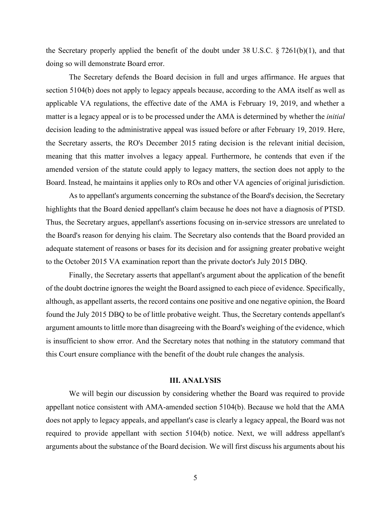the Secretary properly applied the benefit of the doubt under 38 U.S.C. § 7261(b)(1), and that doing so will demonstrate Board error.

The Secretary defends the Board decision in full and urges affirmance. He argues that section 5104(b) does not apply to legacy appeals because, according to the AMA itself as well as applicable VA regulations, the effective date of the AMA is February 19, 2019, and whether a matter is a legacy appeal or is to be processed under the AMA is determined by whether the *initial* decision leading to the administrative appeal was issued before or after February 19, 2019. Here, the Secretary asserts, the RO's December 2015 rating decision is the relevant initial decision, meaning that this matter involves a legacy appeal. Furthermore, he contends that even if the amended version of the statute could apply to legacy matters, the section does not apply to the Board. Instead, he maintains it applies only to ROs and other VA agencies of original jurisdiction.

 As to appellant's arguments concerning the substance of the Board's decision, the Secretary highlights that the Board denied appellant's claim because he does not have a diagnosis of PTSD. Thus, the Secretary argues, appellant's assertions focusing on in-service stressors are unrelated to the Board's reason for denying his claim. The Secretary also contends that the Board provided an adequate statement of reasons or bases for its decision and for assigning greater probative weight to the October 2015 VA examination report than the private doctor's July 2015 DBQ.

 Finally, the Secretary asserts that appellant's argument about the application of the benefit of the doubt doctrine ignores the weight the Board assigned to each piece of evidence. Specifically, although, as appellant asserts, the record contains one positive and one negative opinion, the Board found the July 2015 DBQ to be of little probative weight. Thus, the Secretary contends appellant's argument amounts to little more than disagreeing with the Board's weighing of the evidence, which is insufficient to show error. And the Secretary notes that nothing in the statutory command that this Court ensure compliance with the benefit of the doubt rule changes the analysis.

#### **III. ANALYSIS**

 We will begin our discussion by considering whether the Board was required to provide appellant notice consistent with AMA-amended section 5104(b). Because we hold that the AMA does not apply to legacy appeals, and appellant's case is clearly a legacy appeal, the Board was not required to provide appellant with section 5104(b) notice. Next, we will address appellant's arguments about the substance of the Board decision. We will first discuss his arguments about his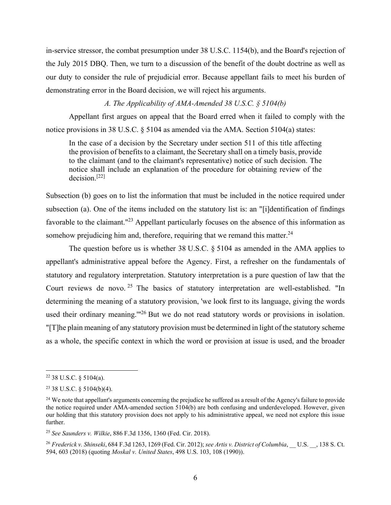in-service stressor, the combat presumption under 38 U.S.C. 1154(b), and the Board's rejection of the July 2015 DBQ. Then, we turn to a discussion of the benefit of the doubt doctrine as well as our duty to consider the rule of prejudicial error. Because appellant fails to meet his burden of demonstrating error in the Board decision, we will reject his arguments.

*A. The Applicability of AMA-Amended 38 U.S.C. § 5104(b)* 

 Appellant first argues on appeal that the Board erred when it failed to comply with the notice provisions in 38 U.S.C. § 5104 as amended via the AMA. Section 5104(a) states:

In the case of a decision by the Secretary under section 511 of this title affecting the provision of benefits to a claimant, the Secretary shall on a timely basis, provide to the claimant (and to the claimant's representative) notice of such decision. The notice shall include an explanation of the procedure for obtaining review of the decision.[22]

Subsection (b) goes on to list the information that must be included in the notice required under subsection (a). One of the items included on the statutory list is: an "[i]dentification of findings favorable to the claimant."<sup>23</sup> Appellant particularly focuses on the absence of this information as somehow prejudicing him and, therefore, requiring that we remand this matter.<sup>24</sup>

 The question before us is whether 38 U.S.C. § 5104 as amended in the AMA applies to appellant's administrative appeal before the Agency. First, a refresher on the fundamentals of statutory and regulatory interpretation. Statutory interpretation is a pure question of law that the Court reviews de novo.<sup>25</sup> The basics of statutory interpretation are well-established. "In determining the meaning of a statutory provision, 'we look first to its language, giving the words used their ordinary meaning."<sup>26</sup> But we do not read statutory words or provisions in isolation. "[T]he plain meaning of any statutory provision must be determined in light of the statutory scheme as a whole, the specific context in which the word or provision at issue is used, and the broader

 $22$  38 U.S.C. § 5104(a).

 $23$  38 U.S.C. § 5104(b)(4).

<sup>&</sup>lt;sup>24</sup> We note that appellant's arguments concerning the prejudice he suffered as a result of the Agency's failure to provide the notice required under AMA-amended section 5104(b) are both confusing and underdeveloped. However, given our holding that this statutory provision does not apply to his administrative appeal, we need not explore this issue further.

<sup>25</sup> *See Saunders v. Wilkie*, 886 F.3d 1356, 1360 (Fed. Cir. 2018).

<sup>26</sup> *Frederick v. Shinseki*, 684 F.3d 1263, 1269 (Fed. Cir. 2012); *see Artis v. District of Columbia*, \_\_ U.S. \_\_, 138 S. Ct. 594, 603 (2018) (quoting *Moskal v. United States*, 498 U.S. 103, 108 (1990)).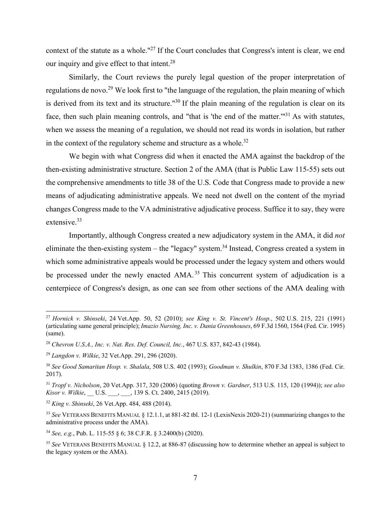context of the statute as a whole."<sup>27</sup> If the Court concludes that Congress's intent is clear, we end our inquiry and give effect to that intent.<sup>28</sup>

Similarly, the Court reviews the purely legal question of the proper interpretation of regulations de novo.<sup>29</sup> We look first to "the language of the regulation, the plain meaning of which is derived from its text and its structure."<sup>30</sup> If the plain meaning of the regulation is clear on its face, then such plain meaning controls, and "that is 'the end of the matter."<sup>31</sup> As with statutes, when we assess the meaning of a regulation, we should not read its words in isolation, but rather in the context of the regulatory scheme and structure as a whole.<sup>32</sup>

 We begin with what Congress did when it enacted the AMA against the backdrop of the then-existing administrative structure. Section 2 of the AMA (that is Public Law 115-55) sets out the comprehensive amendments to title 38 of the U.S. Code that Congress made to provide a new means of adjudicating administrative appeals. We need not dwell on the content of the myriad changes Congress made to the VA administrative adjudicative process. Suffice it to say, they were extensive.33

Importantly, although Congress created a new adjudicatory system in the AMA, it did *not* eliminate the then-existing system – the "legacy" system.<sup>34</sup> Instead, Congress created a system in which some administrative appeals would be processed under the legacy system and others would be processed under the newly enacted AMA.<sup>35</sup> This concurrent system of adjudication is a centerpiece of Congress's design, as one can see from other sections of the AMA dealing with

<sup>27</sup> *Hornick v. Shinseki*, 24 Vet.App. 50, 52 (2010); *see King v. St. Vincent's Hosp.*, 502 U.S. 215, 221 (1991) (articulating same general principle); *Imazio Nursing, Inc. v. Dania Greenhouses*, 69 F.3d 1560, 1564 (Fed. Cir. 1995) (same).

<sup>28</sup> *Chevron U.S.A., Inc. v. Nat. Res. Def. Council, Inc.*, 467 U.S. 837, 842-43 (1984).

<sup>29</sup> *Langdon v. Wilkie*, 32 Vet.App. 291, 296 (2020).

<sup>30</sup> *See Good Samaritan Hosp. v. Shalala*, 508 U.S. 402 (1993); *Goodman v. Shulkin*, 870 F.3d 1383, 1386 (Fed. Cir. 2017).

<sup>31</sup> *Tropf v. Nicholson*, 20 Vet.App. 317, 320 (2006) (quoting *Brown v. Gardner*, 513 U.S. 115, 120 (1994)); *see also Kisor v. Wilkie*, U.S. ..., 139 S. Ct. 2400, 2415 (2019).

<sup>32</sup> *King v. Shinseki*, 26 Vet.App. 484, 488 (2014).

<sup>33</sup> *See* VETERANS BENEFITS MANUAL § 12.1.1, at 881-82 tbl. 12-1 (LexisNexis 2020-21) (summarizing changes to the administrative process under the AMA).

<sup>34</sup> *See, e.g.*, Pub. L. 115-55 § 6; 38 C.F.R. § 3.2400(b) (2020).

<sup>35</sup> *See* VETERANS BENEFITS MANUAL § 12.2, at 886-87 (discussing how to determine whether an appeal is subject to the legacy system or the AMA).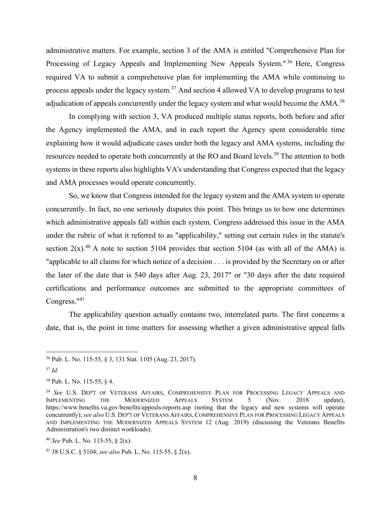administrative matters. For example, section 3 of the AMA is entitled "Comprehensive Plan for Processing of Legacy Appeals and Implementing New Appeals System."<sup>36</sup> Here, Congress required VA to submit a comprehensive plan for implementing the AMA while continuing to process appeals under the legacy system.<sup>37</sup> And section 4 allowed VA to develop programs to test adjudication of appeals concurrently under the legacy system and what would become the AMA.<sup>38</sup>

In complying with section 3, VA produced multiple status reports, both before and after the Agency implemented the AMA, and in each report the Agency spent considerable time explaining how it would adjudicate cases under both the legacy and AMA systems, including the resources needed to operate both concurrently at the RO and Board levels.39 The attention to both systems in these reports also highlights VA's understanding that Congress expected that the legacy and AMA processes would operate concurrently.

 So, we know that Congress intended for the legacy system and the AMA system to operate concurrently. In fact, no one seriously disputes this point. This brings us to how one determines which administrative appeals fall within each system. Congress addressed this issue in the AMA under the rubric of what it referred to as "applicability," setting out certain rules in the statute's section  $2(x)$ .<sup>40</sup> A note to section 5104 provides that section 5104 (as with all of the AMA) is "applicable to all claims for which notice of a decision . . . is provided by the Secretary on or after the later of the date that is 540 days after Aug. 23, 2017" or "30 days after the date required certifications and performance outcomes are submitted to the appropriate committees of Congress."<sup>41</sup>

 The applicability question actually contains two, interrelated parts. The first concerns a date, that is, the point in time matters for assessing whether a given administrative appeal falls

<sup>36</sup> Pub. L. No. 115-55, § 3, 131 Stat. 1105 (Aug. 23, 2017).

<sup>37</sup> *Id.*

<sup>38</sup> Pub. L. No. 115-55, § 4.

<sup>&</sup>lt;sup>39</sup> *See* U.S. DEP'T OF VETERANS AFFAIRS, COMPREHENSIVE PLAN FOR PROCESSING LEGACY APPEALS AND IMPLEMENTING THE MODERNIZED APPEALS SYSTEM 5 (Nov. 2018 update), IMPLEMENTING THE MODERNIZED APPEALS SYSTEM 5 (Nov. 2018 update), https://www.benefits.va.gov/benefits/appeals-reports.asp (noting that the legacy and new systems will operate concurrently); *see also* U.S. DEP'T OF VETERANS AFFAIRS, COMPREHENSIVE PLAN FOR PROCESSING LEGACY APPEALS AND IMPLEMENTING THE MODERNIZED APPEALS SYSTEM 12 (Aug. 2019) (discussing the Veterans Benefits Administration's two distinct workloads).

<sup>40</sup> *See* Pub. L. No. 115-55, § 2(x).

<sup>41 38</sup> U.S.C. § 5104; *see also* Pub. L. No. 115-55, § 2(x).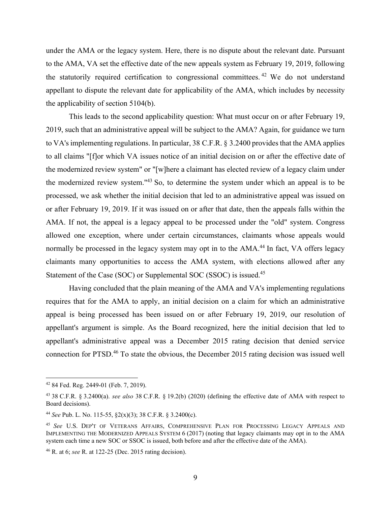under the AMA or the legacy system. Here, there is no dispute about the relevant date. Pursuant to the AMA, VA set the effective date of the new appeals system as February 19, 2019, following the statutorily required certification to congressional committees. 42 We do not understand appellant to dispute the relevant date for applicability of the AMA, which includes by necessity the applicability of section 5104(b).

 This leads to the second applicability question: What must occur on or after February 19, 2019, such that an administrative appeal will be subject to the AMA? Again, for guidance we turn to VA's implementing regulations. In particular, 38 C.F.R. § 3.2400 provides that the AMA applies to all claims "[f]or which VA issues notice of an initial decision on or after the effective date of the modernized review system" or "[w]here a claimant has elected review of a legacy claim under the modernized review system."43 So, to determine the system under which an appeal is to be processed, we ask whether the initial decision that led to an administrative appeal was issued on or after February 19, 2019. If it was issued on or after that date, then the appeals falls within the AMA. If not, the appeal is a legacy appeal to be processed under the "old" system. Congress allowed one exception, where under certain circumstances, claimants whose appeals would normally be processed in the legacy system may opt in to the AMA.<sup>44</sup> In fact, VA offers legacy claimants many opportunities to access the AMA system, with elections allowed after any Statement of the Case (SOC) or Supplemental SOC (SSOC) is issued.<sup>45</sup>

 Having concluded that the plain meaning of the AMA and VA's implementing regulations requires that for the AMA to apply, an initial decision on a claim for which an administrative appeal is being processed has been issued on or after February 19, 2019, our resolution of appellant's argument is simple. As the Board recognized, here the initial decision that led to appellant's administrative appeal was a December 2015 rating decision that denied service connection for PTSD.<sup>46</sup> To state the obvious, the December 2015 rating decision was issued well

<sup>42 84</sup> Fed. Reg. 2449-01 (Feb. 7, 2019).

<sup>43 38</sup> C.F.R. § 3.2400(a). *see also* 38 C.F.R. § 19.2(b) (2020) (defining the effective date of AMA with respect to Board decisions).

<sup>44</sup> *See* Pub. L. No. 115-55, §2(x)(3); 38 C.F.R. § 3.2400(c).

<sup>45</sup> *See* U.S. DEP'T OF VETERANS AFFAIRS, COMPREHENSIVE PLAN FOR PROCESSING LEGACY APPEALS AND IMPLEMENTING THE MODERNIZED APPEALS SYSTEM 6 (2017) (noting that legacy claimants may opt in to the AMA system each time a new SOC or SSOC is issued, both before and after the effective date of the AMA).

<sup>46</sup> R. at 6; *see* R. at 122-25 (Dec. 2015 rating decision).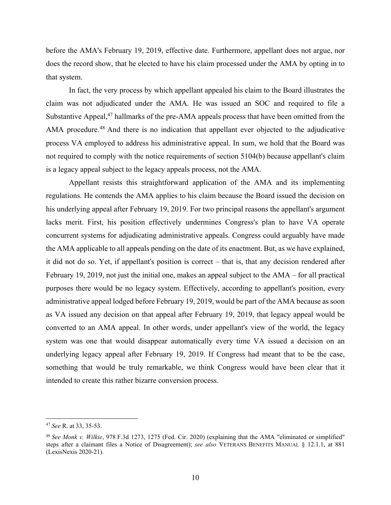before the AMA's February 19, 2019, effective date. Furthermore, appellant does not argue, nor does the record show, that he elected to have his claim processed under the AMA by opting in to that system.

In fact, the very process by which appellant appealed his claim to the Board illustrates the claim was not adjudicated under the AMA. He was issued an SOC and required to file a Substantive Appeal,<sup>47</sup> hallmarks of the pre-AMA appeals process that have been omitted from the AMA procedure.<sup>48</sup> And there is no indication that appellant ever objected to the adjudicative process VA employed to address his administrative appeal. In sum, we hold that the Board was not required to comply with the notice requirements of section 5104(b) because appellant's claim is a legacy appeal subject to the legacy appeals process, not the AMA.

 Appellant resists this straightforward application of the AMA and its implementing regulations. He contends the AMA applies to his claim because the Board issued the decision on his underlying appeal after February 19, 2019. For two principal reasons the appellant's argument lacks merit. First, his position effectively undermines Congress's plan to have VA operate concurrent systems for adjudicating administrative appeals. Congress could arguably have made the AMA applicable to all appeals pending on the date of its enactment. But, as we have explained, it did not do so. Yet, if appellant's position is correct – that is, that any decision rendered after February 19, 2019, not just the initial one, makes an appeal subject to the AMA – for all practical purposes there would be no legacy system. Effectively, according to appellant's position, every administrative appeal lodged before February 19, 2019, would be part of the AMA because as soon as VA issued any decision on that appeal after February 19, 2019, that legacy appeal would be converted to an AMA appeal. In other words, under appellant's view of the world, the legacy system was one that would disappear automatically every time VA issued a decision on an underlying legacy appeal after February 19, 2019. If Congress had meant that to be the case, something that would be truly remarkable, we think Congress would have been clear that it intended to create this rather bizarre conversion process.

<sup>47</sup> *See* R. at 33, 35-53.

<sup>48</sup> *See Monk v. Wilkie*, 978 F.3d 1273, 1275 (Fed. Cir. 2020) (explaining that the AMA "eliminated or simplified" steps after a claimant files a Notice of Disagreement); *see also* VETERANS BENEFITS MANUAL § 12.1.1, at 881 (LexisNexis 2020-21).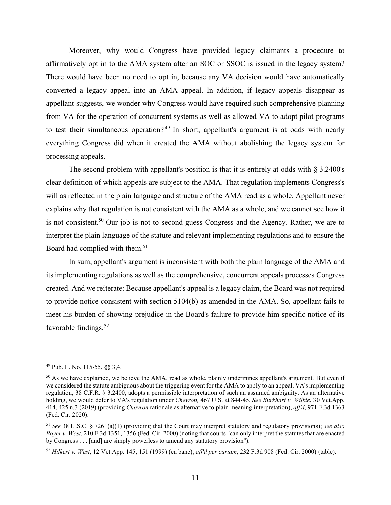Moreover, why would Congress have provided legacy claimants a procedure to affirmatively opt in to the AMA system after an SOC or SSOC is issued in the legacy system? There would have been no need to opt in, because any VA decision would have automatically converted a legacy appeal into an AMA appeal. In addition, if legacy appeals disappear as appellant suggests, we wonder why Congress would have required such comprehensive planning from VA for the operation of concurrent systems as well as allowed VA to adopt pilot programs to test their simultaneous operation?<sup>49</sup> In short, appellant's argument is at odds with nearly everything Congress did when it created the AMA without abolishing the legacy system for processing appeals.

The second problem with appellant's position is that it is entirely at odds with  $\S 3.2400's$ clear definition of which appeals are subject to the AMA. That regulation implements Congress's will as reflected in the plain language and structure of the AMA read as a whole. Appellant never explains why that regulation is not consistent with the AMA as a whole, and we cannot see how it is not consistent.<sup>50</sup> Our job is not to second guess Congress and the Agency. Rather, we are to interpret the plain language of the statute and relevant implementing regulations and to ensure the Board had complied with them.<sup>51</sup>

 In sum, appellant's argument is inconsistent with both the plain language of the AMA and its implementing regulations as well as the comprehensive, concurrent appeals processes Congress created. And we reiterate: Because appellant's appeal is a legacy claim, the Board was not required to provide notice consistent with section 5104(b) as amended in the AMA. So, appellant fails to meet his burden of showing prejudice in the Board's failure to provide him specific notice of its favorable findings.<sup>52</sup>

<sup>49</sup> Pub. L. No. 115-55, §§ 3,4.

<sup>&</sup>lt;sup>50</sup> As we have explained, we believe the AMA, read as whole, plainly undermines appellant's argument. But even if we considered the statute ambiguous about the triggering event for the AMA to apply to an appeal, VA's implementing regulation, 38 C.F.R. § 3.2400, adopts a permissible interpretation of such an assumed ambiguity. As an alternative holding, we would defer to VA's regulation under *Chevron,* 467 U.S. at 844-45. *See Burkhart v. Wilkie*, 30 Vet.App. 414, 425 n.3 (2019) (providing *Chevron* rationale as alternative to plain meaning interpretation), *aff'd*, 971 F.3d 1363 (Fed. Cir. 2020).

<sup>51</sup> *See* 38 U.S.C. § 7261(a)(1) (providing that the Court may interpret statutory and regulatory provisions); *see also Boyer v. West*, 210 F.3d 1351, 1356 (Fed. Cir. 2000) (noting that courts "can only interpret the statutes that are enacted by Congress . . . [and] are simply powerless to amend any statutory provision").

<sup>52</sup> *Hilkert v. West*, 12 Vet.App. 145, 151 (1999) (en banc), *aff'd per curiam*, 232 F.3d 908 (Fed. Cir. 2000) (table).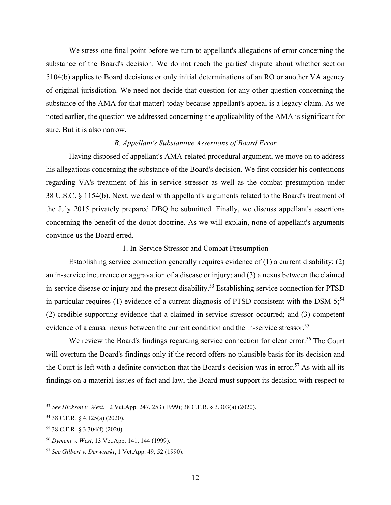We stress one final point before we turn to appellant's allegations of error concerning the substance of the Board's decision. We do not reach the parties' dispute about whether section 5104(b) applies to Board decisions or only initial determinations of an RO or another VA agency of original jurisdiction. We need not decide that question (or any other question concerning the substance of the AMA for that matter) today because appellant's appeal is a legacy claim. As we noted earlier, the question we addressed concerning the applicability of the AMA is significant for sure. But it is also narrow.

### *B. Appellant's Substantive Assertions of Board Error*

 Having disposed of appellant's AMA-related procedural argument, we move on to address his allegations concerning the substance of the Board's decision. We first consider his contentions regarding VA's treatment of his in-service stressor as well as the combat presumption under 38 U.S.C. § 1154(b). Next, we deal with appellant's arguments related to the Board's treatment of the July 2015 privately prepared DBQ he submitted. Finally, we discuss appellant's assertions concerning the benefit of the doubt doctrine. As we will explain, none of appellant's arguments convince us the Board erred.

## 1. In-Service Stressor and Combat Presumption

Establishing service connection generally requires evidence of (1) a current disability; (2) an in-service incurrence or aggravation of a disease or injury; and (3) a nexus between the claimed in-service disease or injury and the present disability.<sup>53</sup> Establishing service connection for PTSD in particular requires (1) evidence of a current diagnosis of PTSD consistent with the DSM-5; $^{54}$ (2) credible supporting evidence that a claimed in-service stressor occurred; and (3) competent evidence of a causal nexus between the current condition and the in-service stressor.<sup>55</sup>

We review the Board's findings regarding service connection for clear error.<sup>56</sup> The Court will overturn the Board's findings only if the record offers no plausible basis for its decision and the Court is left with a definite conviction that the Board's decision was in error.<sup>57</sup> As with all its findings on a material issues of fact and law, the Board must support its decision with respect to

<sup>53</sup> *See Hickson v. West*, 12 Vet.App. 247, 253 (1999); 38 C.F.R. § 3.303(a) (2020).

<sup>54 38</sup> C.F.R. § 4.125(a) (2020).

<sup>55 38</sup> C.F.R. § 3.304(f) (2020).

<sup>56</sup> *Dyment v. West*, 13 Vet.App. 141, 144 (1999).

<sup>57</sup> *See Gilbert v. Derwinski*, 1 Vet.App. 49, 52 (1990).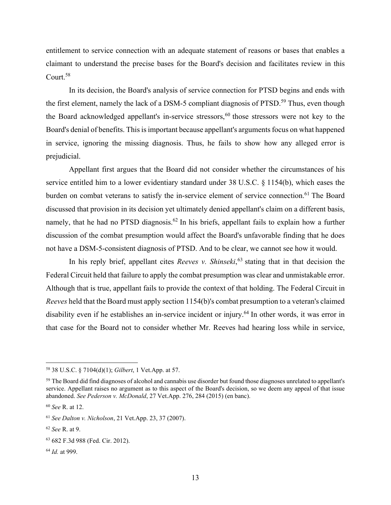entitlement to service connection with an adequate statement of reasons or bases that enables a claimant to understand the precise bases for the Board's decision and facilitates review in this Court.58

In its decision, the Board's analysis of service connection for PTSD begins and ends with the first element, namely the lack of a DSM-5 compliant diagnosis of PTSD.<sup>59</sup> Thus, even though the Board acknowledged appellant's in-service stressors,<sup>60</sup> those stressors were not key to the Board's denial of benefits. This is important because appellant's arguments focus on what happened in service, ignoring the missing diagnosis. Thus, he fails to show how any alleged error is prejudicial.

 Appellant first argues that the Board did not consider whether the circumstances of his service entitled him to a lower evidentiary standard under 38 U.S.C. § 1154(b), which eases the burden on combat veterans to satisfy the in-service element of service connection.<sup>61</sup> The Board discussed that provision in its decision yet ultimately denied appellant's claim on a different basis, namely, that he had no PTSD diagnosis.<sup>62</sup> In his briefs, appellant fails to explain how a further discussion of the combat presumption would affect the Board's unfavorable finding that he does not have a DSM-5-consistent diagnosis of PTSD. And to be clear, we cannot see how it would.

In his reply brief, appellant cites *Reeves v. Shinseki*,<sup>63</sup> stating that in that decision the Federal Circuit held that failure to apply the combat presumption was clear and unmistakable error. Although that is true, appellant fails to provide the context of that holding. The Federal Circuit in *Reeves* held that the Board must apply section 1154(b)'s combat presumption to a veteran's claimed disability even if he establishes an in-service incident or injury.<sup>64</sup> In other words, it was error in that case for the Board not to consider whether Mr. Reeves had hearing loss while in service,

<sup>58 38</sup> U.S.C. § 7104(d)(1); *Gilbert*, 1 Vet.App. at 57.

<sup>&</sup>lt;sup>59</sup> The Board did find diagnoses of alcohol and cannabis use disorder but found those diagnoses unrelated to appellant's service. Appellant raises no argument as to this aspect of the Board's decision, so we deem any appeal of that issue abandoned. *See Pederson v. McDonald*, 27 Vet.App. 276, 284 (2015) (en banc).

<sup>60</sup> *See* R. at 12.

<sup>61</sup> *See Dalton v. Nicholson*, 21 Vet.App. 23, 37 (2007).

<sup>62</sup> *See* R. at 9.

<sup>63 682</sup> F.3d 988 (Fed. Cir. 2012).

<sup>64</sup> *Id.* at 999.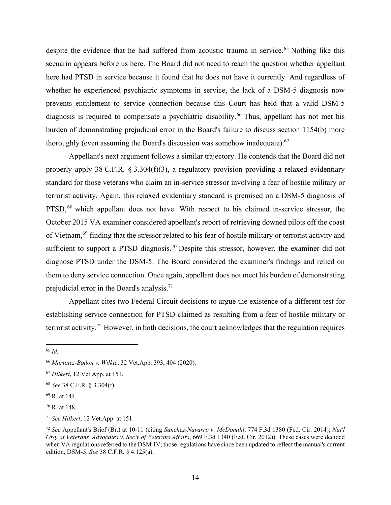despite the evidence that he had suffered from acoustic trauma in service.<sup>65</sup> Nothing like this scenario appears before us here. The Board did not need to reach the question whether appellant here had PTSD in service because it found that he does not have it currently. And regardless of whether he experienced psychiatric symptoms in service, the lack of a DSM-5 diagnosis now prevents entitlement to service connection because this Court has held that a valid DSM-5 diagnosis is required to compensate a psychiatric disability.<sup>66</sup> Thus, appellant has not met his burden of demonstrating prejudicial error in the Board's failure to discuss section 1154(b) more thoroughly (even assuming the Board's discussion was somehow inadequate).  $67$ 

 Appellant's next argument follows a similar trajectory. He contends that the Board did not properly apply 38 C.F.R. § 3.304(f)(3), a regulatory provision providing a relaxed evidentiary standard for those veterans who claim an in-service stressor involving a fear of hostile military or terrorist activity. Again, this relaxed evidentiary standard is premised on a DSM-5 diagnosis of PTSD, <sup>68</sup> which appellant does not have. With respect to his claimed in-service stressor, the October 2015 VA examiner considered appellant's report of retrieving downed pilots off the coast of Vietnam,69 finding that the stressor related to his fear of hostile military or terrorist activity and sufficient to support a PTSD diagnosis.<sup>70</sup> Despite this stressor, however, the examiner did not diagnose PTSD under the DSM-5. The Board considered the examiner's findings and relied on them to deny service connection. Once again, appellant does not meet his burden of demonstrating prejudicial error in the Board's analysis.<sup>71</sup>

 Appellant cites two Federal Circuit decisions to argue the existence of a different test for establishing service connection for PTSD claimed as resulting from a fear of hostile military or terrorist activity.<sup>72</sup> However, in both decisions, the court acknowledges that the regulation requires

<sup>65</sup> *Id.*

<sup>66</sup> *Martinez-Bodon v. Wilkie*, 32 Vet.App. 393, 404 (2020).

<sup>67</sup> *Hilkert*, 12 Vet.App. at 151.

<sup>68</sup> *See* 38 C.F.R. § 3.304(f).

<sup>69</sup> R. at 144.

<sup>70</sup> R. at 148.

<sup>71</sup> *See Hilkert*, 12 Vet.App. at 151.

<sup>72</sup> *See* Appellant's Brief (Br.) at 10-11 (citing *Sanchez-Navarro v. McDonald*, 774 F.3d 1380 (Fed. Cir. 2014); *Nat'l Org. of Veterans' Advocates v. Sec'y of Veterans Affairs*, 669 F.3d 1340 (Fed. Cir. 2012)). These cases were decided when VA regulations referred to the DSM-IV; those regulations have since been updated to reflect the manual's current edition, DSM-5. *See* 38 C.F.R. § 4.125(a).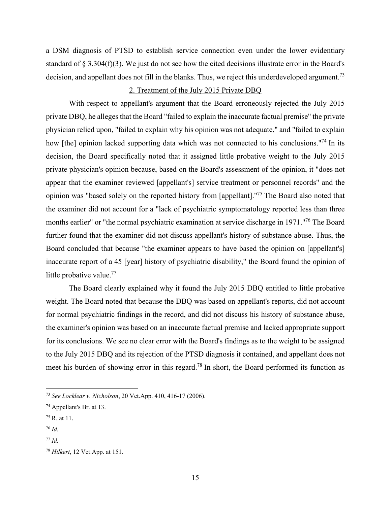a DSM diagnosis of PTSD to establish service connection even under the lower evidentiary standard of § 3.304(f)(3). We just do not see how the cited decisions illustrate error in the Board's decision, and appellant does not fill in the blanks. Thus, we reject this underdeveloped argument.<sup>73</sup>

### 2. Treatment of the July 2015 Private DBQ

 With respect to appellant's argument that the Board erroneously rejected the July 2015 private DBQ, he alleges that the Board "failed to explain the inaccurate factual premise" the private physician relied upon, "failed to explain why his opinion was not adequate," and "failed to explain how [the] opinion lacked supporting data which was not connected to his conclusions."<sup>74</sup> In its decision, the Board specifically noted that it assigned little probative weight to the July 2015 private physician's opinion because, based on the Board's assessment of the opinion, it "does not appear that the examiner reviewed [appellant's] service treatment or personnel records" and the opinion was "based solely on the reported history from [appellant]."75 The Board also noted that the examiner did not account for a "lack of psychiatric symptomatology reported less than three months earlier" or "the normal psychiatric examination at service discharge in 1971."76 The Board further found that the examiner did not discuss appellant's history of substance abuse. Thus, the Board concluded that because "the examiner appears to have based the opinion on [appellant's] inaccurate report of a 45 [year] history of psychiatric disability," the Board found the opinion of little probative value.<sup>77</sup>

 The Board clearly explained why it found the July 2015 DBQ entitled to little probative weight. The Board noted that because the DBQ was based on appellant's reports, did not account for normal psychiatric findings in the record, and did not discuss his history of substance abuse, the examiner's opinion was based on an inaccurate factual premise and lacked appropriate support for its conclusions. We see no clear error with the Board's findings as to the weight to be assigned to the July 2015 DBQ and its rejection of the PTSD diagnosis it contained, and appellant does not meet his burden of showing error in this regard.78 In short, the Board performed its function as

<sup>73</sup> *See Locklear v. Nicholson*, 20 Vet.App. 410, 416-17 (2006).

<sup>74</sup> Appellant's Br. at 13.

<sup>75</sup> R. at 11.

<sup>76</sup> *Id.*

<sup>77</sup> *Id.*

<sup>78</sup> *Hilkert*, 12 Vet.App. at 151.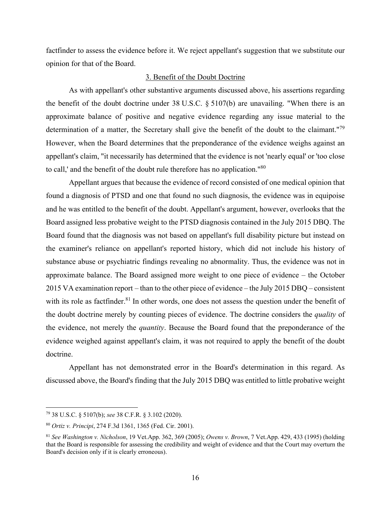factfinder to assess the evidence before it. We reject appellant's suggestion that we substitute our opinion for that of the Board.

### 3. Benefit of the Doubt Doctrine

As with appellant's other substantive arguments discussed above, his assertions regarding the benefit of the doubt doctrine under 38 U.S.C. § 5107(b) are unavailing. "When there is an approximate balance of positive and negative evidence regarding any issue material to the determination of a matter, the Secretary shall give the benefit of the doubt to the claimant."<sup>79</sup> However, when the Board determines that the preponderance of the evidence weighs against an appellant's claim, "it necessarily has determined that the evidence is not 'nearly equal' or 'too close to call,' and the benefit of the doubt rule therefore has no application."80

 Appellant argues that because the evidence of record consisted of one medical opinion that found a diagnosis of PTSD and one that found no such diagnosis, the evidence was in equipoise and he was entitled to the benefit of the doubt. Appellant's argument, however, overlooks that the Board assigned less probative weight to the PTSD diagnosis contained in the July 2015 DBQ. The Board found that the diagnosis was not based on appellant's full disability picture but instead on the examiner's reliance on appellant's reported history, which did not include his history of substance abuse or psychiatric findings revealing no abnormality. Thus, the evidence was not in approximate balance. The Board assigned more weight to one piece of evidence – the October 2015 VA examination report – than to the other piece of evidence – the July 2015 DBQ – consistent with its role as factfinder.<sup>81</sup> In other words, one does not assess the question under the benefit of the doubt doctrine merely by counting pieces of evidence. The doctrine considers the *quality* of the evidence, not merely the *quantity*. Because the Board found that the preponderance of the evidence weighed against appellant's claim, it was not required to apply the benefit of the doubt doctrine.

Appellant has not demonstrated error in the Board's determination in this regard. As discussed above, the Board's finding that the July 2015 DBQ was entitled to little probative weight

<sup>79 38</sup> U.S.C. § 5107(b); *see* 38 C.F.R. § 3.102 (2020).

<sup>80</sup> *Ortiz v. Principi*, 274 F.3d 1361, 1365 (Fed. Cir. 2001).

<sup>81</sup> *See Washington v. Nicholson*, 19 Vet.App. 362, 369 (2005); *Owens v. Brown*, 7 Vet.App. 429, 433 (1995) (holding that the Board is responsible for assessing the credibility and weight of evidence and that the Court may overturn the Board's decision only if it is clearly erroneous).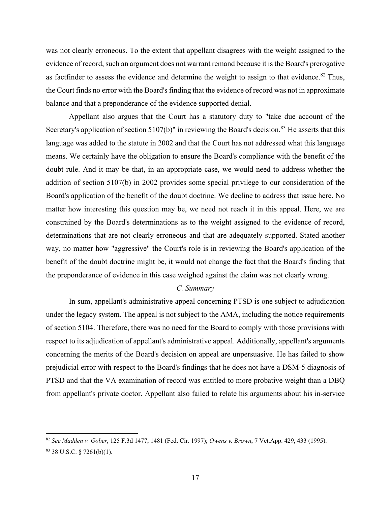was not clearly erroneous. To the extent that appellant disagrees with the weight assigned to the evidence of record, such an argument does not warrant remand because it is the Board's prerogative as factfinder to assess the evidence and determine the weight to assign to that evidence. $82$  Thus, the Court finds no error with the Board's finding that the evidence of record was not in approximate balance and that a preponderance of the evidence supported denial.

Appellant also argues that the Court has a statutory duty to "take due account of the Secretary's application of section 5107(b)" in reviewing the Board's decision.<sup>83</sup> He asserts that this language was added to the statute in 2002 and that the Court has not addressed what this language means. We certainly have the obligation to ensure the Board's compliance with the benefit of the doubt rule. And it may be that, in an appropriate case, we would need to address whether the addition of section 5107(b) in 2002 provides some special privilege to our consideration of the Board's application of the benefit of the doubt doctrine. We decline to address that issue here. No matter how interesting this question may be, we need not reach it in this appeal. Here, we are constrained by the Board's determinations as to the weight assigned to the evidence of record, determinations that are not clearly erroneous and that are adequately supported. Stated another way, no matter how "aggressive" the Court's role is in reviewing the Board's application of the benefit of the doubt doctrine might be, it would not change the fact that the Board's finding that the preponderance of evidence in this case weighed against the claim was not clearly wrong.

## *C. Summary*

 In sum, appellant's administrative appeal concerning PTSD is one subject to adjudication under the legacy system. The appeal is not subject to the AMA, including the notice requirements of section 5104. Therefore, there was no need for the Board to comply with those provisions with respect to its adjudication of appellant's administrative appeal. Additionally, appellant's arguments concerning the merits of the Board's decision on appeal are unpersuasive. He has failed to show prejudicial error with respect to the Board's findings that he does not have a DSM-5 diagnosis of PTSD and that the VA examination of record was entitled to more probative weight than a DBQ from appellant's private doctor. Appellant also failed to relate his arguments about his in-service

<sup>82</sup> *See Madden v. Gober*, 125 F.3d 1477, 1481 (Fed. Cir. 1997); *Owens v. Brown*, 7 Vet.App. 429, 433 (1995).  $83$  38 U.S.C. § 7261(b)(1).